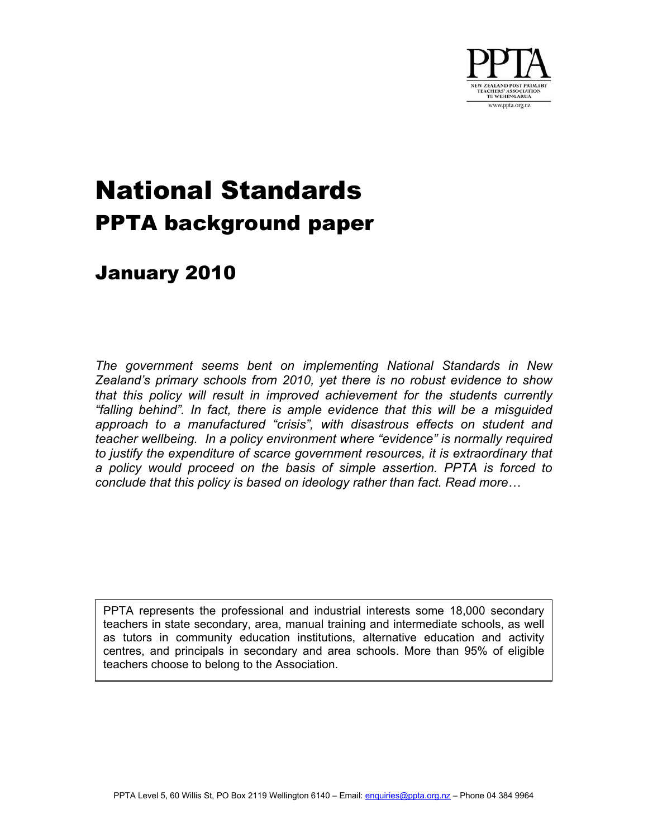

# National Standards PPTA background paper

# January 2010

*The government seems bent on implementing National Standards in New Zealand's primary schools from 2010, yet there is no robust evidence to show that this policy will result in improved achievement for the students currently "falling behind". In fact, there is ample evidence that this will be a misguided approach to a manufactured "crisis", with disastrous effects on student and teacher wellbeing. In a policy environment where "evidence" is normally required*  to justify the expenditure of scarce government resources, it is extraordinary that *a policy would proceed on the basis of simple assertion. PPTA is forced to conclude that this policy is based on ideology rather than fact. [Read more…](#page-1-0)* 

PPTA represents the professional and industrial interests some 18,000 secondary teachers in state secondary, area, manual training and intermediate schools, as well as tutors in community education institutions, alternative education and activity centres, and principals in secondary and area schools. More than 95% of eligible teachers choose to belong to the Association.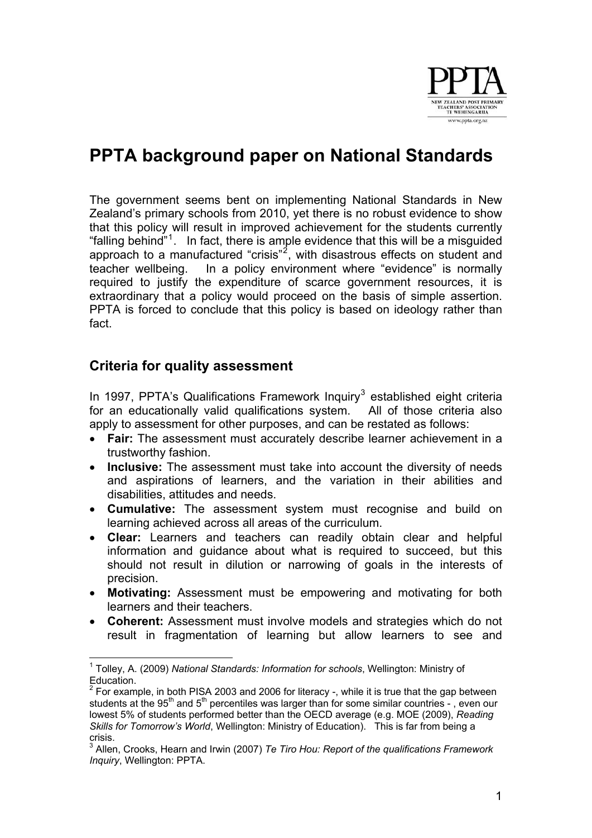

# <span id="page-1-0"></span>**PPTA background paper on National Standards**

The government seems bent on implementing National Standards in New Zealand's primary schools from 2010, yet there is no robust evidence to show that this policy will result in improved achievement for the students currently "[falling behind"](http://nzcurriculum.tki.org.nz/National-Standards/Key-information/Information-for-schools/Letter-from-the-Minister)<sup>[1](#page-1-1)</sup>. In fact, there is ample evidence that this will be a misguided approach to a manufactured "crisis"<sup>[2](#page-1-2)</sup>, with disastrous effects on student and teacher wellbeing. In a policy environment where "evidence" is normally required to justify the expenditure of scarce government resources, it is extraordinary that a policy would proceed on the basis of simple assertion. PPTA is forced to conclude that this policy is based on ideology rather than fact.

#### **Criteria for quality assessment**

In 1997, PPTA's Qualifications Framework Inquiry<sup>[3](#page-1-3)</sup> established eight criteria for an educationally valid qualifications system. All of those criteria also apply to assessment for other purposes, and can be restated as follows:

- **Fair:** The assessment must accurately describe learner achievement in a trustworthy fashion.
- **Inclusive:** The assessment must take into account the diversity of needs and aspirations of learners, and the variation in their abilities and disabilities, attitudes and needs.
- **Cumulative:** The assessment system must recognise and build on learning achieved across all areas of the curriculum.
- **Clear:** Learners and teachers can readily obtain clear and helpful information and guidance about what is required to succeed, but this should not result in dilution or narrowing of goals in the interests of precision.
- **Motivating:** Assessment must be empowering and motivating for both learners and their teachers.
- **Coherent:** Assessment must involve models and strategies which do not result in fragmentation of learning but allow learners to see and

<span id="page-1-1"></span> 1 Tolley, A. (2009) *National Standards: Information for schools*, Wellington: Ministry of Education.

<span id="page-1-2"></span> $2$  For example, in both PISA 2003 and 2006 for literacy -, while it is true that the gap between students at the 95<sup>th</sup> and 5<sup>th</sup> percentiles was larger than for some similar countries -, even our lowest 5% of students performed better than the OECD average (e.g. MOE (2009), *Reading Skills for Tomorrow's World*, Wellington: Ministry of Education). This is far from being a crisis.

<span id="page-1-3"></span><sup>3</sup> Allen, Crooks, Hearn and Irwin (2007) *Te Tiro Hou: Report of the qualifications Framework Inquiry*, Wellington: PPTA.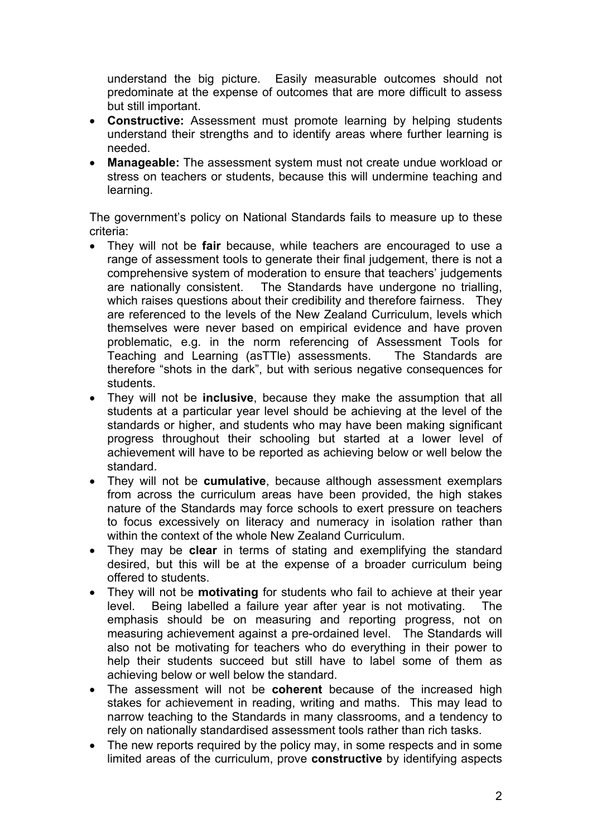understand the big picture. Easily measurable outcomes should not predominate at the expense of outcomes that are more difficult to assess but still important.

- **Constructive:** Assessment must promote learning by helping students understand their strengths and to identify areas where further learning is needed.
- **Manageable:** The assessment system must not create undue workload or stress on teachers or students, because this will undermine teaching and learning.

The government's policy on National Standards fails to measure up to these criteria:

- They will not be **fair** because, while teachers are encouraged to use a range of assessment tools to generate their final judgement, there is not a comprehensive system of moderation to ensure that teachers' judgements are nationally consistent. The Standards have undergone no trialling, which raises questions about their credibility and therefore fairness. They are referenced to the levels of the New Zealand Curriculum, levels which themselves were never based on empirical evidence and have proven problematic, e.g. in the norm referencing of Assessment Tools for Teaching and Learning (asTTle) assessments. The Standards are therefore "shots in the dark", but with serious negative consequences for students.
- They will not be **inclusive**, because they make the assumption that all students at a particular year level should be achieving at the level of the standards or higher, and students who may have been making significant progress throughout their schooling but started at a lower level of achievement will have to be reported as achieving below or well below the standard.
- They will not be **cumulative**, because although assessment exemplars from across the curriculum areas have been provided, the high stakes nature of the Standards may force schools to exert pressure on teachers to focus excessively on literacy and numeracy in isolation rather than within the context of the whole New Zealand Curriculum.
- They may be **clear** in terms of stating and exemplifying the standard desired, but this will be at the expense of a broader curriculum being offered to students.
- They will not be **motivating** for students who fail to achieve at their year level. Being labelled a failure year after year is not motivating. The emphasis should be on measuring and reporting progress, not on measuring achievement against a pre-ordained level. The Standards will also not be motivating for teachers who do everything in their power to help their students succeed but still have to label some of them as achieving below or well below the standard.
- The assessment will not be **coherent** because of the increased high stakes for achievement in reading, writing and maths. This may lead to narrow teaching to the Standards in many classrooms, and a tendency to rely on nationally standardised assessment tools rather than rich tasks.
- The new reports required by the policy may, in some respects and in some limited areas of the curriculum, prove **constructive** by identifying aspects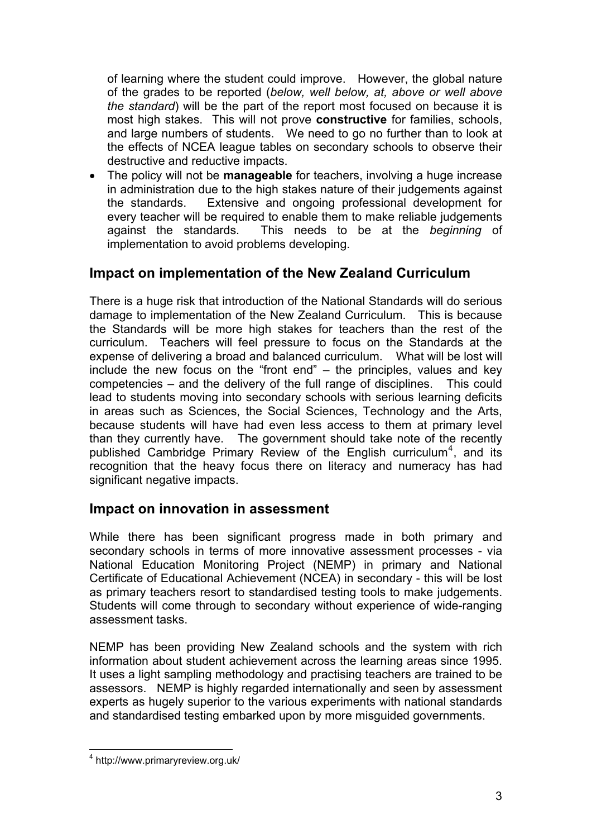of learning where the student could improve. However, the global nature of the grades to be reported (*below, well below, at, above or well above the standard*) will be the part of the report most focused on because it is most high stakes. This will not prove **constructive** for families, schools, and large numbers of students. We need to go no further than to look at the effects of NCEA league tables on secondary schools to observe their destructive and reductive impacts.

• The policy will not be **manageable** for teachers, involving a huge increase in administration due to the high stakes nature of their judgements against the standards. Extensive and ongoing professional development for every teacher will be required to enable them to make reliable judgements against the standards. This needs to be at the *beginning* of implementation to avoid problems developing.

# **Impact on implementation of the New Zealand Curriculum**

There is a huge risk that introduction of the National Standards will do serious damage to implementation of the New Zealand Curriculum. This is because the Standards will be more high stakes for teachers than the rest of the curriculum. Teachers will feel pressure to focus on the Standards at the expense of delivering a broad and balanced curriculum. What will be lost will include the new focus on the "front end" – the principles, values and key competencies – and the delivery of the full range of disciplines. This could lead to students moving into secondary schools with serious learning deficits in areas such as Sciences, the Social Sciences, Technology and the Arts, because students will have had even less access to them at primary level than they currently have. The government should take note of the recently published [Cambridge Primary Review of the English curriculum](http://www.primaryreview.org.uk/)<sup>[4](#page-3-0)</sup>, and its recognition that the heavy focus there on literacy and numeracy has had significant negative impacts.

# **Impact on innovation in assessment**

While there has been significant progress made in both primary and secondary schools in terms of more innovative assessment processes - via National Education Monitoring Project (NEMP) in primary and National Certificate of Educational Achievement (NCEA) in secondary - this will be lost as primary teachers resort to standardised testing tools to make judgements. Students will come through to secondary without experience of wide-ranging assessment tasks.

NEMP has been providing New Zealand schools and the system with rich information about student achievement across the learning areas since 1995. It uses a light sampling methodology and practising teachers are trained to be assessors. NEMP is highly regarded internationally and seen by assessment experts as hugely superior to the various experiments with national standards and standardised testing embarked upon by more misguided governments.

<span id="page-3-0"></span> 4 http://www.primaryreview.org.uk/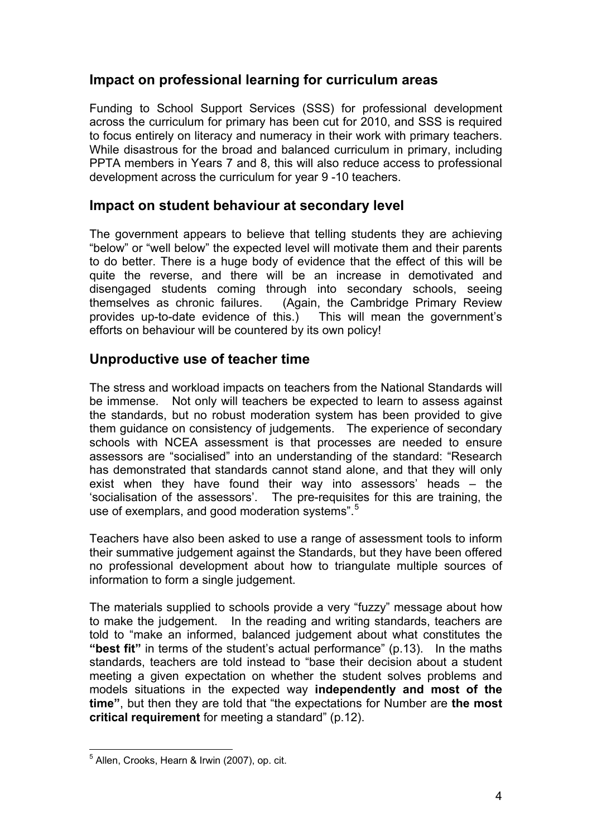#### **Impact on professional learning for curriculum areas**

Funding to School Support Services (SSS) for professional development across the curriculum for primary has been cut for 2010, and SSS is required to focus entirely on literacy and numeracy in their work with primary teachers. While disastrous for the broad and balanced curriculum in primary, including PPTA members in Years 7 and 8, this will also reduce access to professional development across the curriculum for year 9 -10 teachers.

#### **Impact on student behaviour at secondary level**

The government appears to believe that telling students they are achieving "below" or "well below" the expected level will motivate them and their parents to do better. There is a huge body of evidence that the effect of this will be quite the reverse, and there will be an increase in demotivated and disengaged students coming through into secondary schools, seeing themselves as chronic failures. (Again, the Cambridge Primary Review provides up-to-date evidence of this.) This will mean the government's efforts on behaviour will be countered by its own policy!

# **Unproductive use of teacher time**

The stress and workload impacts on teachers from the National Standards will be immense. Not only will teachers be expected to learn to assess against the standards, but no robust moderation system has been provided to give them guidance on consistency of judgements. The experience of secondary schools with NCEA assessment is that processes are needed to ensure assessors are "socialised" into an understanding of the standard: "Research has demonstrated that standards cannot stand alone, and that they will only exist when they have found their way into assessors' heads – the 'socialisation of the assessors'. The pre-requisites for this are training, the use of exemplars, and good moderation systems".<sup>[5](#page-4-0)</sup>

Teachers have also been asked to use a range of assessment tools to inform their summative judgement against the Standards, but they have been offered no professional development about how to triangulate multiple sources of information to form a single judgement.

The materials supplied to schools provide a very "fuzzy" message about how to make the judgement. In the reading and writing standards, teachers are told to "make an informed, balanced judgement about what constitutes the **"best fit"** in terms of the student's actual performance" (p.13). In the maths standards, teachers are told instead to "base their decision about a student meeting a given expectation on whether the student solves problems and models situations in the expected way **independently and most of the time"**, but then they are told that "the expectations for Number are **the most critical requirement** for meeting a standard" (p.12).

<span id="page-4-0"></span> 5 Allen, Crooks, Hearn & Irwin (2007), op. cit.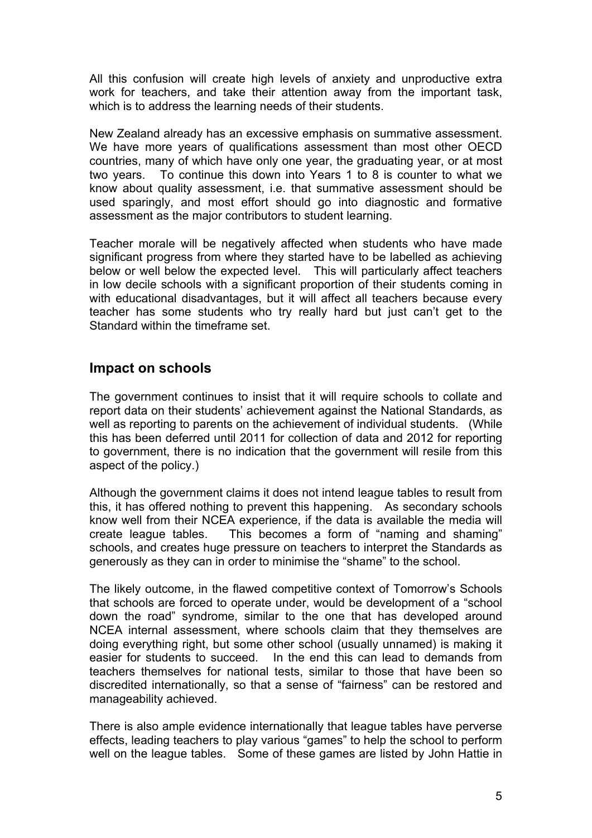All this confusion will create high levels of anxiety and unproductive extra work for teachers, and take their attention away from the important task, which is to address the learning needs of their students.

New Zealand already has an excessive emphasis on summative assessment. We have more years of qualifications assessment than most other OECD countries, many of which have only one year, the graduating year, or at most two years. To continue this down into Years 1 to 8 is counter to what we know about quality assessment, i.e. that summative assessment should be used sparingly, and most effort should go into diagnostic and formative assessment as the major contributors to student learning.

Teacher morale will be negatively affected when students who have made significant progress from where they started have to be labelled as achieving below or well below the expected level. This will particularly affect teachers in low decile schools with a significant proportion of their students coming in with educational disadvantages, but it will affect all teachers because every teacher has some students who try really hard but just can't get to the Standard within the timeframe set.

#### **Impact on schools**

The government continues to insist that it will require schools to collate and report data on their students' achievement against the National Standards, as well as reporting to parents on the achievement of individual students. (While this has been deferred until 2011 for collection of data and 2012 for reporting to government, there is no indication that the government will resile from this aspect of the policy.)

Although the government claims it does not intend league tables to result from this, it has offered nothing to prevent this happening. As secondary schools know well from their NCEA experience, if the data is available the media will create league tables. This becomes a form of "naming and shaming" schools, and creates huge pressure on teachers to interpret the Standards as generously as they can in order to minimise the "shame" to the school.

The likely outcome, in the flawed competitive context of Tomorrow's Schools that schools are forced to operate under, would be development of a "school down the road" syndrome, similar to the one that has developed around NCEA internal assessment, where schools claim that they themselves are doing everything right, but some other school (usually unnamed) is making it easier for students to succeed. In the end this can lead to demands from teachers themselves for national tests, similar to those that have been so discredited internationally, so that a sense of "fairness" can be restored and manageability achieved.

There is also ample evidence internationally that league tables have perverse effects, leading teachers to play various "games" to help the school to perform well on the league tables. Some of these games are listed by John Hattie in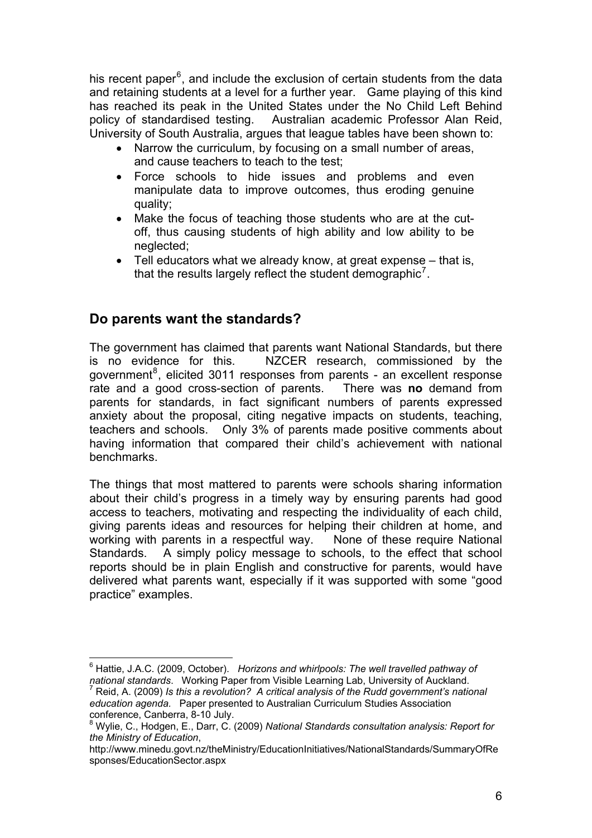his [recent paper](http://www.cognitionresearch.org.nz/fullpage.php?type=news&slug=horizons-whirlpools-the-well-travelled-pathway-of-national-standards)<sup>[6](#page-6-0)</sup>, and include the exclusion of certain students from the data and retaining students at a level for a further year. Game playing of this kind has reached its peak in the United States under the No Child Left Behind policy of standardised testing. Australian academic Professor Alan Reid, University of South Australia, argues that league tables have been shown to:

- Narrow the curriculum, by focusing on a small number of areas, and cause teachers to teach to the test;
- Force schools to hide issues and problems and even manipulate data to improve outcomes, thus eroding genuine quality;
- Make the focus of teaching those students who are at the cutoff, thus causing students of high ability and low ability to be neglected;
- Tell educators what we already know, at great expense that is, that the results largely reflect the student demographic<sup>[7](#page-6-1)</sup>.

# **Do parents want the standards?**

The government has claimed that parents want National Standards, but there is no evidence for this. [NZCER research](http://www.minedu.govt.nz/theMinistry/EducationInitiatives/NationalStandards/SummaryOfResponses/EducationSector.aspx), commissioned by the government<sup>[8](#page-6-2)</sup>, elicited 3011 responses from parents - an excellent response rate and a good cross-section of parents. There was **no** demand from parents for standards, in fact significant numbers of parents expressed anxiety about the proposal, citing negative impacts on students, teaching, teachers and schools. Only 3% of parents made positive comments about having information that compared their child's achievement with national benchmarks.

delivered what parents want, especially if it was supported with some "good practice" examples. The things that most mattered to parents were schools sharing information about their child's progress in a timely way by ensuring parents had good access to teachers, motivating and respecting the individuality of each child, giving parents ideas and resources for helping their children at home, and working with parents in a respectful way. None of these require National Standards. A simply policy message to schools, to the effect that school reports should be in plain English and constructive for parents, would have

<span id="page-6-0"></span>\_\_\_\_\_\_\_\_\_\_\_\_\_\_\_\_\_\_\_\_\_\_\_\_\_\_\_\_\_\_\_\_\_\_\_\_\_<br><sup>6</sup> Hattie, J.A.C. (2009, October). *Horizons and whirlpools: The well travelled pathway of national standards*. Working Paper from Visible Learning Lab, University of Auckland. 7

<span id="page-6-1"></span>Reid, A. (2009) *Is this a revolution? A critical analysis of the Rudd government's national education agenda.* Paper presented to Australian Curriculum Studies Association conference, Canberra, 8-10 July.

<span id="page-6-2"></span><sup>8</sup> Wylie, C., Hodgen, E., Darr, C. (2009) *National Standards consultation analysis: Report for the Ministry of Education*,

http://www.minedu.govt.nz/theMinistry/EducationInitiatives/NationalStandards/SummaryOfRe sponses/EducationSector.aspx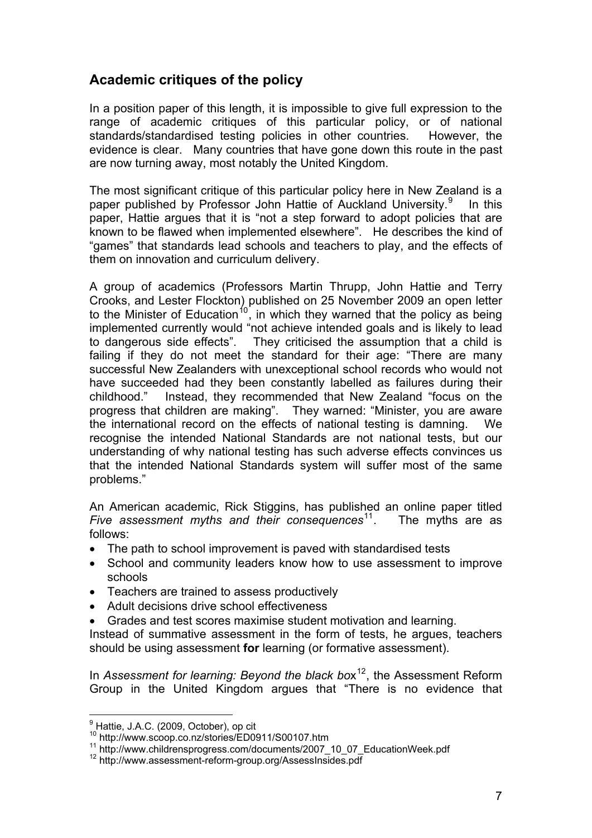# **Academic critiques of the policy**

In a position paper of this length, it is impossible to give full expression to the range of academic critiques of this particular policy, or of national standards/standardised testing policies in other countries. However, the evidence is clear. Many countries that have gone down this route in the past are now turning away, most notably the United Kingdom.

The most significant critique of this particular policy here in New Zealand is a paper published by Professor John Hattie of Auckland University.<sup>[9](#page-7-0)</sup> In this paper, Hattie argues that it is "not a step forward to adopt policies that are known to be flawed when implemented elsewhere". He describes the kind of "games" that standards lead schools and teachers to play, and the effects of them on innovation and curriculum delivery.

A group of academics (Professors Martin Thrupp, John Hattie and Terry Crooks, and Lester Flockton) published on 25 November 2009 an [open letter](http://www.scoop.co.nz/stories/ED0911/S00107.htm) to the Minister of Education<sup>[10](#page-7-1)</sup>, in which they warned that the policy as being implemented currently would "not achieve intended goals and is likely to lead to dangerous side effects". They criticised the assumption that a child is failing if they do not meet the standard for their age: "There are many successful New Zealanders with unexceptional school records who would not have succeeded had they been constantly labelled as failures during their childhood." Instead, they recommended that New Zealand "focus on the progress that children are making". They warned: "Minister, you are aware the international record on the effects of national testing is damning. We recognise the intended National Standards are not national tests, but our understanding of why national testing has such adverse effects convinces us that the intended National Standards system will suffer most of the same problems."

An American academic, Rick Stiggins, has published an online paper titled *[Five assessment myths and their consequences](http://www.childrensprogress.com/documents/2007_10_07_EducationWeek.pdf)*<sup>[11](#page-7-2)</sup>. The myths are as follows:

- The path to school improvement is paved with standardised tests
- School and community leaders know how to use assessment to improve schools
- Teachers are trained to assess productively
- Adult decisions drive school effectiveness
- Grades and test scores maximise student motivation and learning.

Instead of summative assessment in the form of tests, he argues, teachers should be using assessment for learning (or formative assessment).

In *[Assessment for learning: Beyond the black bo](http://www.assessment-reform-group.org/AssessInsides.pdf)x*<sup>[12](#page-7-3)</sup>, the Assessment Reform Group in the United Kingdom argues that "There is no evidence that

 9 Hattie, J.A.C. (2009, October), op cit

<span id="page-7-1"></span><span id="page-7-0"></span><sup>10</sup> http://www.scoop.co.nz/stories/ED0911/S00107.htm<br>
<sup>11</sup> http://www.childrensprogress.com/documents/2007\_10\_07\_EducationWeek.pdf<br>
<sup>12</sup> http://www.assessment-reform-group.org/AssessInsides.pdf

<span id="page-7-3"></span><span id="page-7-2"></span>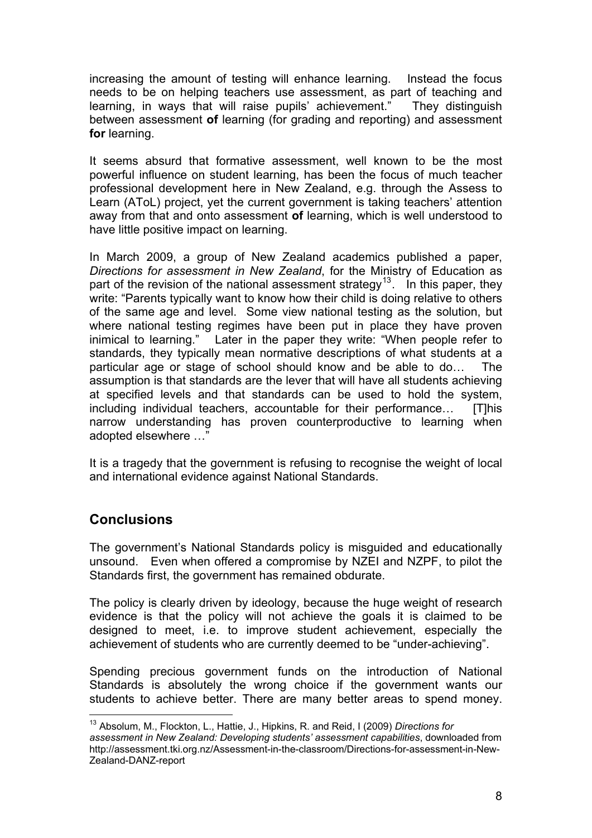increasing the amount of testing will enhance learning. Instead the focus needs to be on helping teachers use assessment, as part of teaching and learning, in ways that will raise pupils' achievement." They distinguish between assessment **of** learning (for grading and reporting) and assessment for learning.

away from that and onto assessment of learning, which is well understood to have little positive impact on learning. It seems absurd that formative assessment, well known to be the most powerful influence on student learning, has been the focus of much teacher professional development here in New Zealand, e.g. through the Assess to Learn (AToL) project, yet the current government is taking teachers' attention

narrow understanding has proven counterproductive to learning when adopted elsewhere ..." In March 2009, a group of New Zealand academics published a paper, *[Directions for assessment in New Zealand](http://assessment.tki.org.nz/Assessment-in-the-classroom/Directions-for-assessment-in-New-Zealand-DANZ-report)*, for the Ministry of Education as part of the revision of the national assessment strategy<sup>[13](#page-8-0)</sup>. In this paper, they write: "Parents typically want to know how their child is doing relative to others of the same age and level. Some view national testing as the solution, but where national testing regimes have been put in place they have proven inimical to learning." Later in the paper they write: "When people refer to standards, they typically mean normative descriptions of what students at a particular age or stage of school should know and be able to do… The assumption is that standards are the lever that will have all students achieving at specified levels and that standards can be used to hold the system, including individual teachers, accountable for their performance… [T]his

It is a tragedy that the government is refusing to recognise the weight of local and international evidence against National Standards.

# **onclusions C**

unsound. Even when offered a compromise by NZEI and NZPF, to pilot the Standards first, the government has remained obdurate. The government's National Standards policy is misguided and educationally

achievement of students who are currently deemed to be "under-achieving". The policy is clearly driven by ideology, because the huge weight of research evidence is that the policy will not achieve the goals it is claimed to be designed to meet, i.e. to improve student achievement, especially the

Spending precious government funds on the introduction of National Standards is absolutely the wrong choice if the government wants our students to achieve better. There are many better areas to spend money.

<span id="page-8-0"></span><sup>13</sup> Absolum, M., Flockton, L., Hattie, J., Hipkins, R. and Reid, I (2009) *Directions for assessment in New Zealand: Developing students' assessment capabilities*, downloaded from http://assessment.tki.org.nz/Assessment-in-the-classroom/Directions-for-assessment-in-New-Zealand-DANZ-report